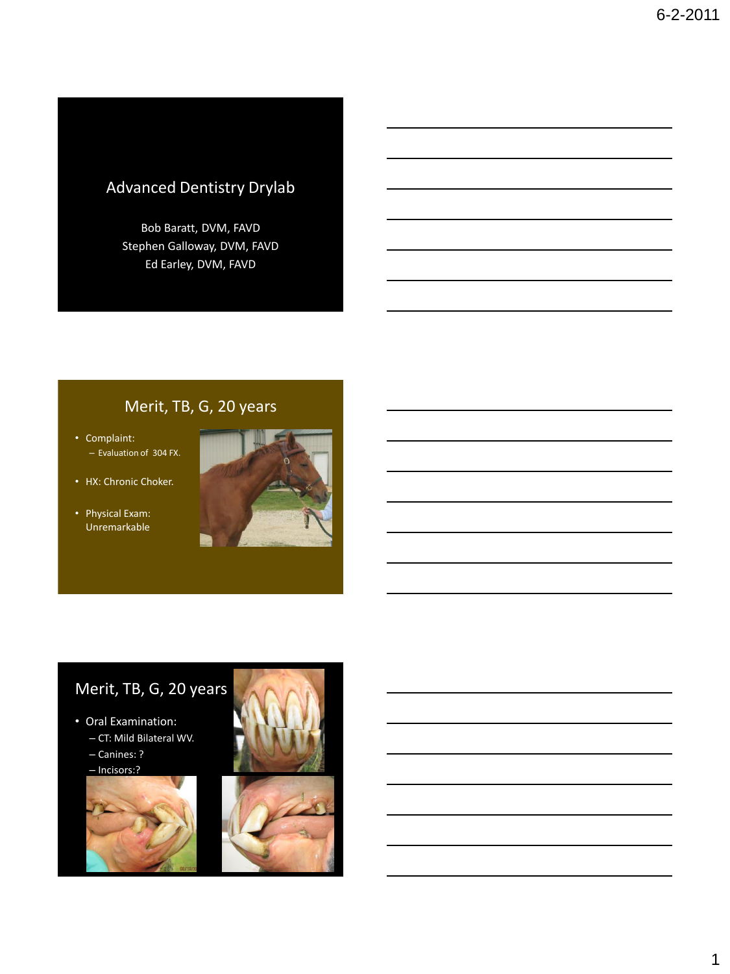# Advanced Dentistry Drylab

Bob Baratt, DVM, FAVD Stephen Galloway, DVM, FAVD Ed Earley, DVM, FAVD

# Merit, TB, G, 20 years

• Complaint: – Evaluation of 304 FX.

- HX: Chronic Choker.
- Physical Exam: Unremarkable



# Merit, TB, G, 20 years

### • Oral Examination:

- CT: Mild Bilateral WV.
- Canines: ?

– Incisors:?



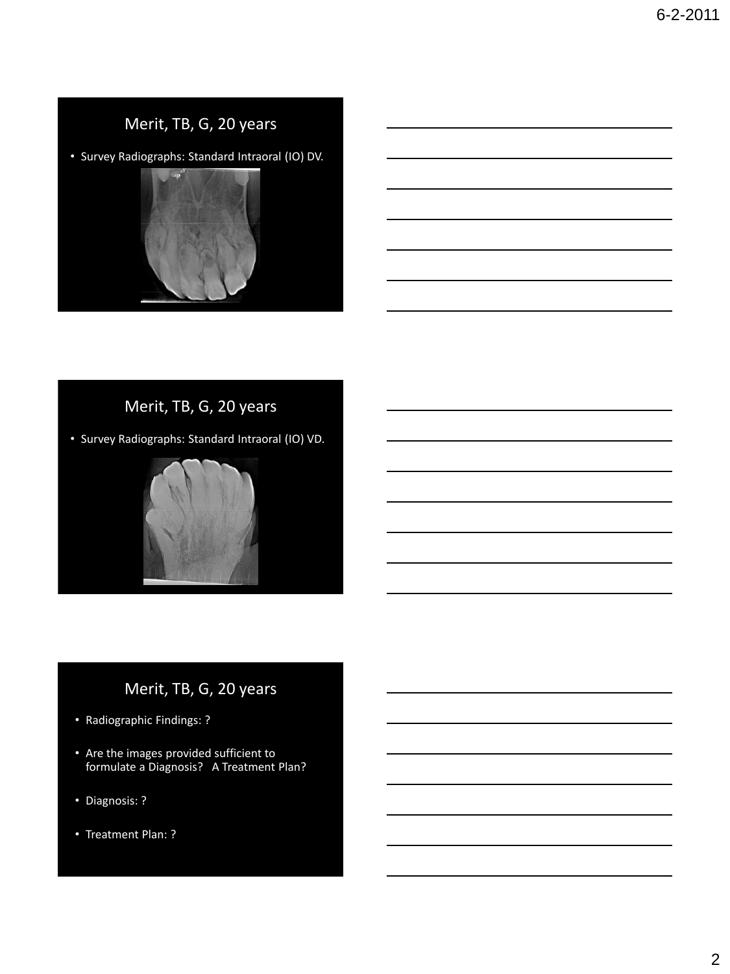• Survey Radiographs: Standard Intraoral (IO) DV.



# Merit, TB, G, 20 years

• Survey Radiographs: Standard Intraoral (IO) VD.



- Radiographic Findings: ?
- Are the images provided sufficient to formulate a Diagnosis? A Treatment Plan?
- Diagnosis: ?
- Treatment Plan: ?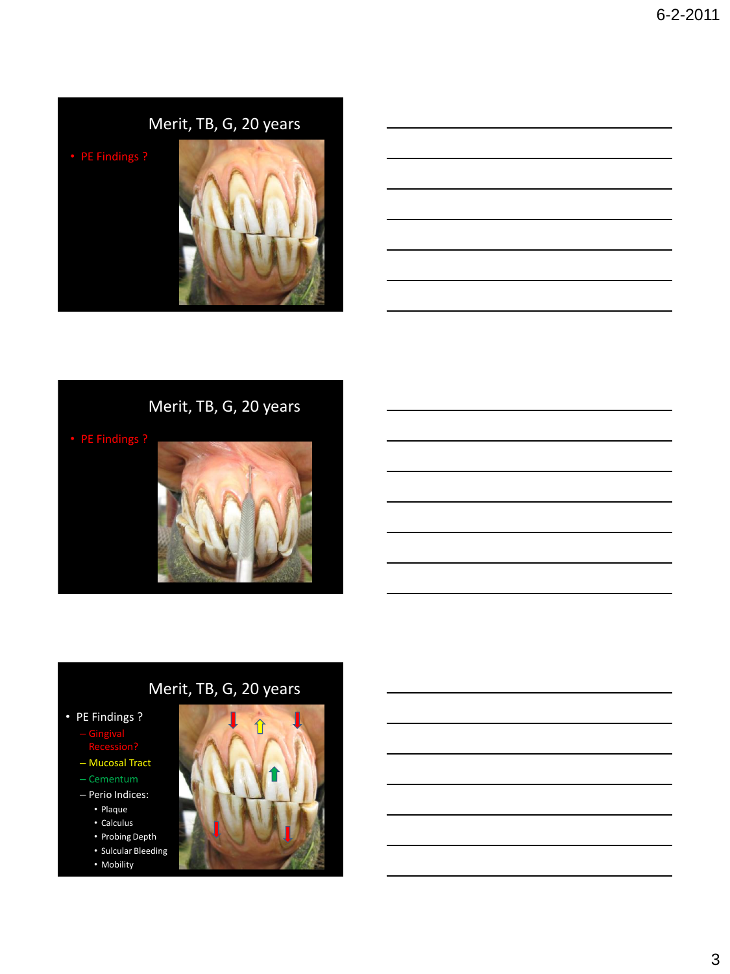# Merit, TB, G, 20 years

# Merit, TB, G, 20 years

• PE Findings ?

- Gingival Recession?
- Mucosal Tract
- Cementum
- Perio Indices:
	- Plaque
	- Calculus
	- Probing Depth • Sulcular Bleeding
	- Mobility

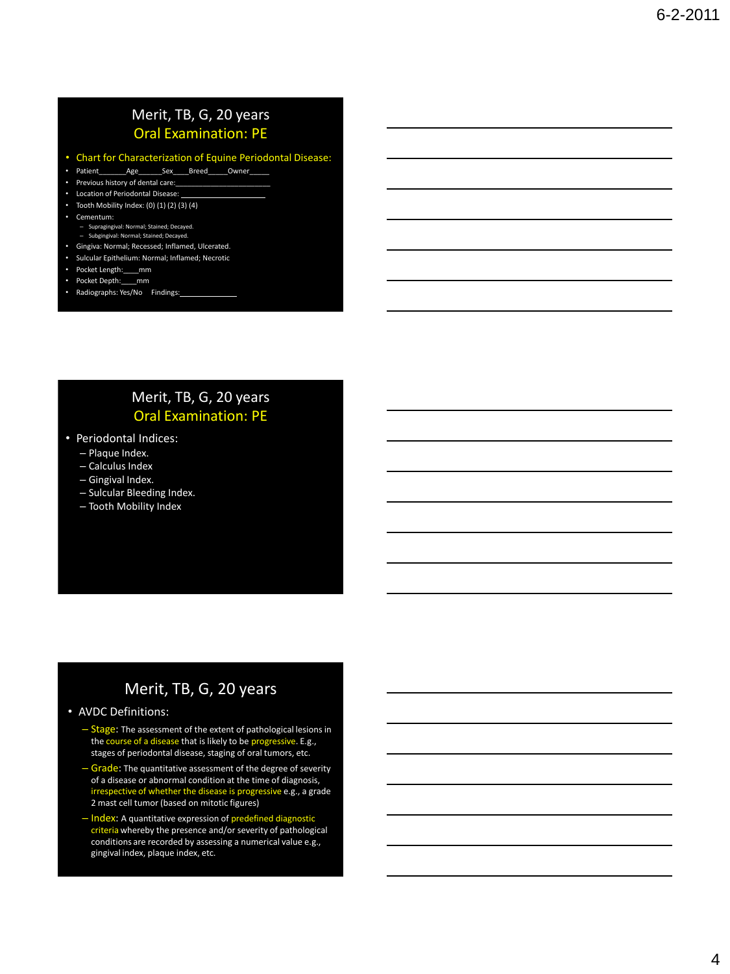### Merit, TB, G, 20 years Oral Examination: PE

- Chart for Characterization of Equine Periodontal Disease:
- $\textsf{Age}$  \_\_\_\_\_\_\_\_\_ Sex\_\_\_\_\_\_Breed\_\_\_\_\_\_Owner\_\_\_\_
- Previous history of dental care:
- Location of Periodontal Disease:
- Tooth Mobility Index:  $(0)$   $(1)$   $(2)$   $(3)$   $(4)$
- Cementum:
	- Supragingival: Normal; Stained; Decayed. – Subgingival: Normal; Stained; Decayed.
- Gingiva: Normal; Recessed; Inflamed, Ulcerated.
- Sulcular Epithelium: Normal; Inflamed; Necrotic
- Pocket Length:\_\_\_\_mm
- Pocket Depth:\_\_\_\_mm
- Radiographs: Yes/No Findings:

### Merit, TB, G, 20 years Oral Examination: PE

- Periodontal Indices:
	- Plaque Index.
	- Calculus Index
	- Gingival Index.
	- Sulcular Bleeding Index.
	- Tooth Mobility Index

### Merit, TB, G, 20 years

### • AVDC Definitions:

- Stage: The assessment of the extent of pathological lesions in the course of a disease that is likely to be progressive. E.g., stages of periodontal disease, staging of oral tumors, etc.
- Grade: The quantitative assessment of the degree of severity of a disease or abnormal condition at the time of diagnosis, irrespective of whether the disease is progressive e.g., a grade 2 mast cell tumor (based on mitotic figures)
- Index: A quantitative expression of predefined diagnostic criteria whereby the presence and/or severity of pathological conditions are recorded by assessing a numerical value e.g., gingival index, plaque index, etc.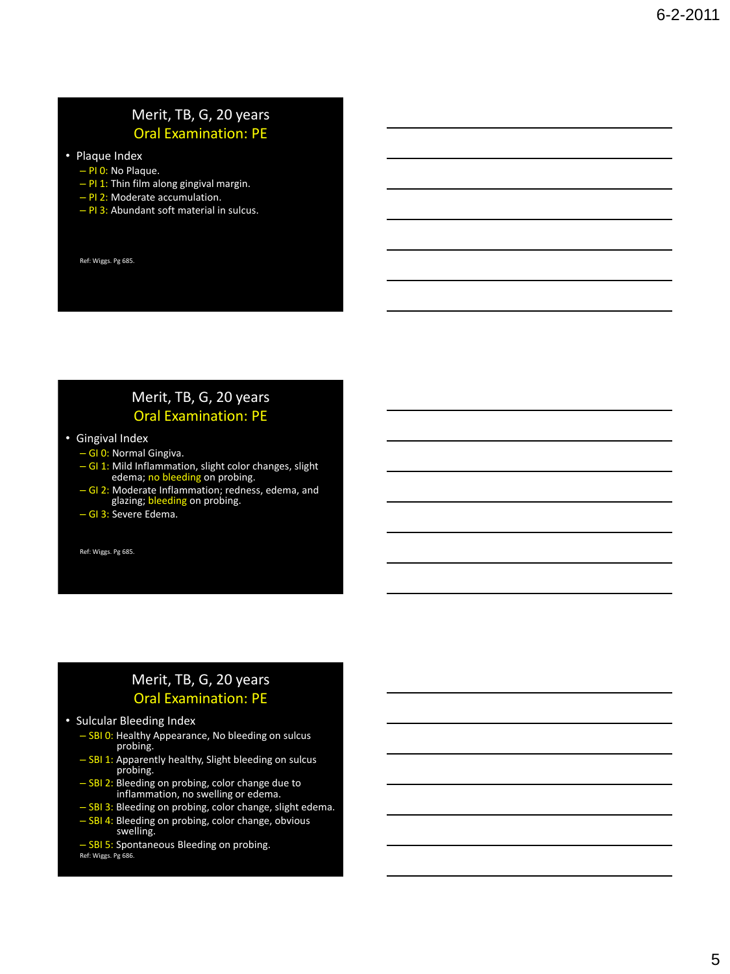### Merit, TB, G, 20 years Oral Examination: PE

- Plaque Index
	- PI 0: No Plaque.
	- $-$  PI 1: Thin film along gingival margin.
	- PI 2: Moderate accumulation.
	- PI 3: Abundant soft material in sulcus.

Ref: Wiggs. Pg 685.

### Merit, TB, G, 20 years Oral Examination: PE

- Gingival Index
	- GI 0: Normal Gingiva.
	- GI 1: Mild Inflammation, slight color changes, slight edema; no bleeding on probing.
	- GI 2: Moderate Inflammation; redness, edema, and<br>glazing; bleeding on probing.
	- GI 3: Severe Edema.

Ref: Wiggs. Pg 685.

### Merit, TB, G, 20 years Oral Examination: PE

### • Sulcular Bleeding Index

- SBI 0: Healthy Appearance, No bleeding on sulcus probing.
- SBI 1: Apparently healthy, Slight bleeding on sulcus probing.
- SBI 2: Bleeding on probing, color change due to<br>inflammation, no swelling or edema.
- SBI 3: Bleeding on probing, color change, slight edema.
- SBI 4: Bleeding on probing, color change, obvious swelling.
- SBI 5: Spontaneous Bleeding on probing. Ref: Wiggs. Pg 686.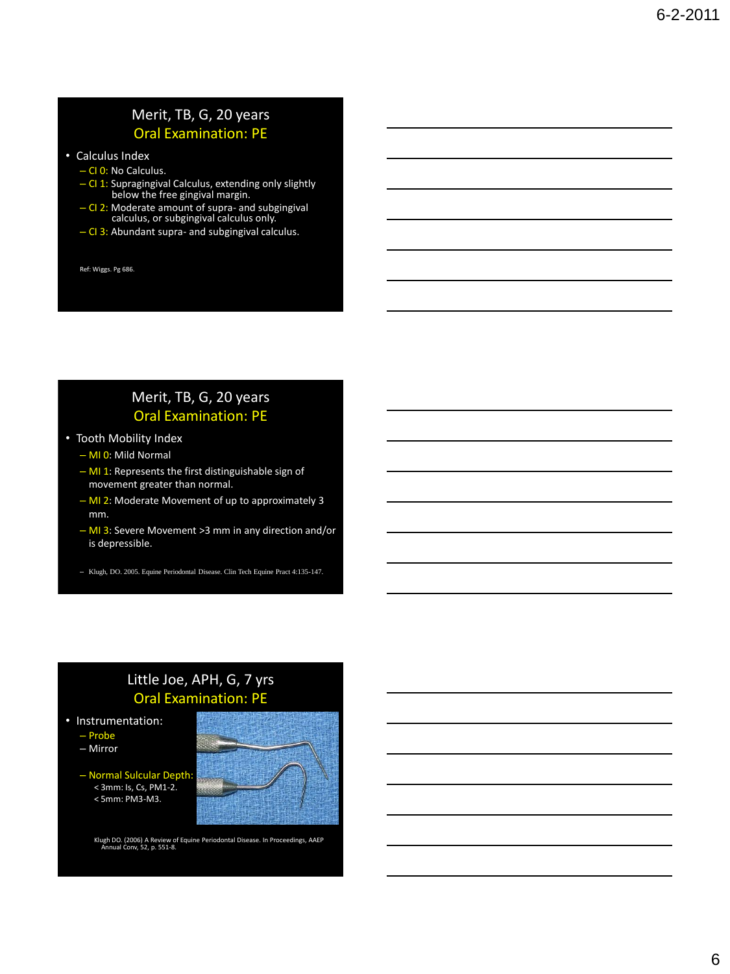### Merit, TB, G, 20 years Oral Examination: PE

- Calculus Index
	- CI 0: No Calculus.
	- CI 1: Supragingival Calculus, extending only slightly below the free gingival margin.
	- CI 2: Moderate amount of supra- and subgingival calculus, or subgingival calculus only.
	- CI 3: Abundant supra- and subgingival calculus.

Ref: Wiggs. Pg 686.

### Merit, TB, G, 20 years Oral Examination: PE

- Tooth Mobility Index
	- MI 0: Mild Normal
	- MI 1: Represents the first distinguishable sign of movement greater than normal.
	- MI 2: Moderate Movement of up to approximately 3 mm.
	- MI 3: Severe Movement >3 mm in any direction and/or is depressible.
	- Klugh, DO. 2005. Equine Periodontal Disease. Clin Tech Equine Pract 4:135-147.

### Little Joe, APH, G, 7 yrs Oral Examination: PE

- Instrumentation:
	- Probe
	- Mirror
	- Normal Sulcular Depth: < 3mm: Is, Cs, PM1-2. < 5mm: PM3-M3.

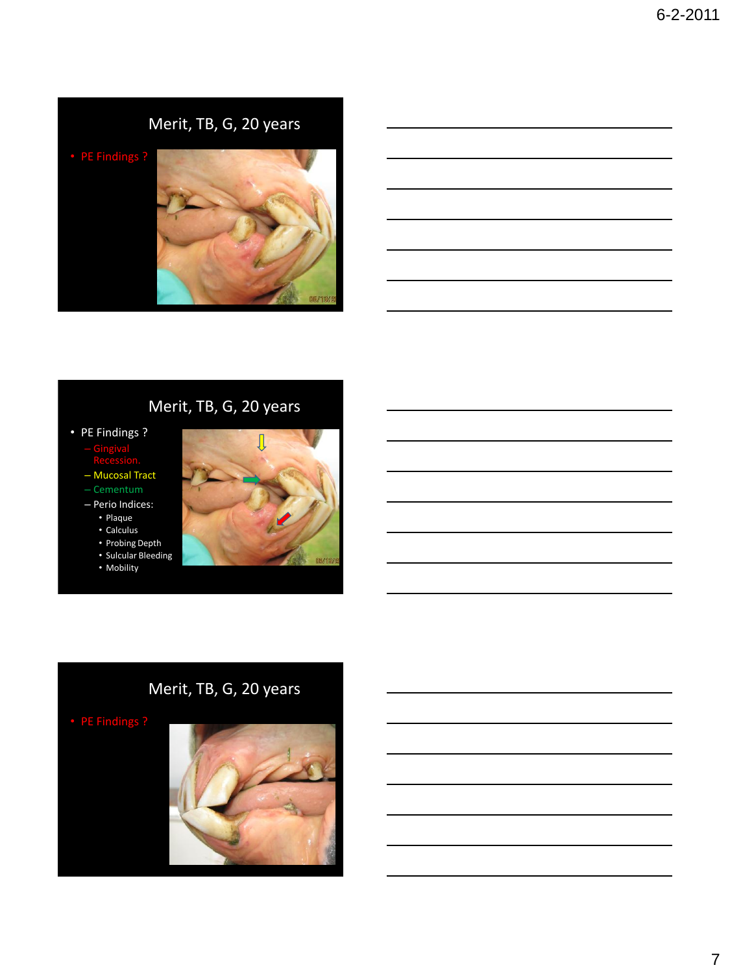

J

- PE Findings ?
	- Gingival
	- Mucosal Tract
	- Cementum
	- Perio Indices:
		- Plaque
		- Calculus
		- Probing Depth • Sulcular Bleeding
		-



# Merit, TB, G, 20 years

• PE Findings ?

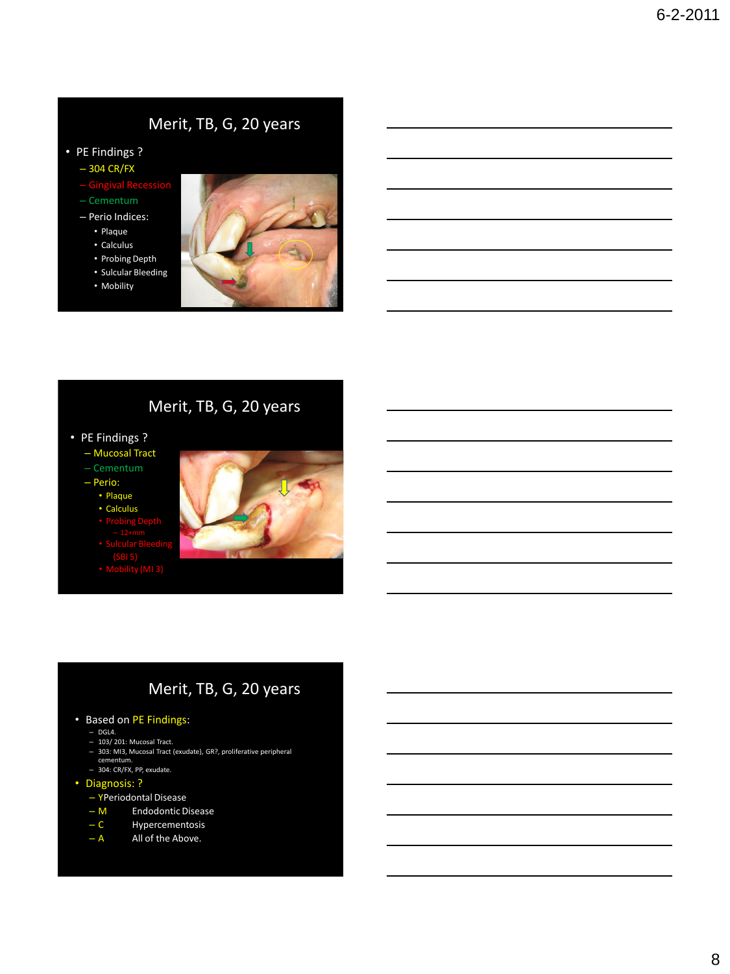- PE Findings ?
	- 304 CR/FX
	- Gingival Recession
	- Cementum
	- Perio Indices:
		- Plaque
		- Calculus
		- Probing Depth
		- Sulcular Bleeding
		- Mobility



### Merit, TB, G, 20 years

- PE Findings ?
	- Mucosal Tract
	- Cementum
	- Perio:
		- Plaque
		- Calculus
		-
		-
		- $(M13)$
		-



- Based on PE Findings:
	- DGL4.
	- 103/ 201: Mucosal Tract.
	- 303: MI3, Mucosal Tract (exudate), GR?, proliferative peripheral ceme
	- 304: CR/FX, PP, exudate.
- Diagnosis: ?
	- YPeriodontal Disease
	- M Endodontic Disease<br>– C Hypercementosis
	- Hypercementosis
	- A All of the Above.
		-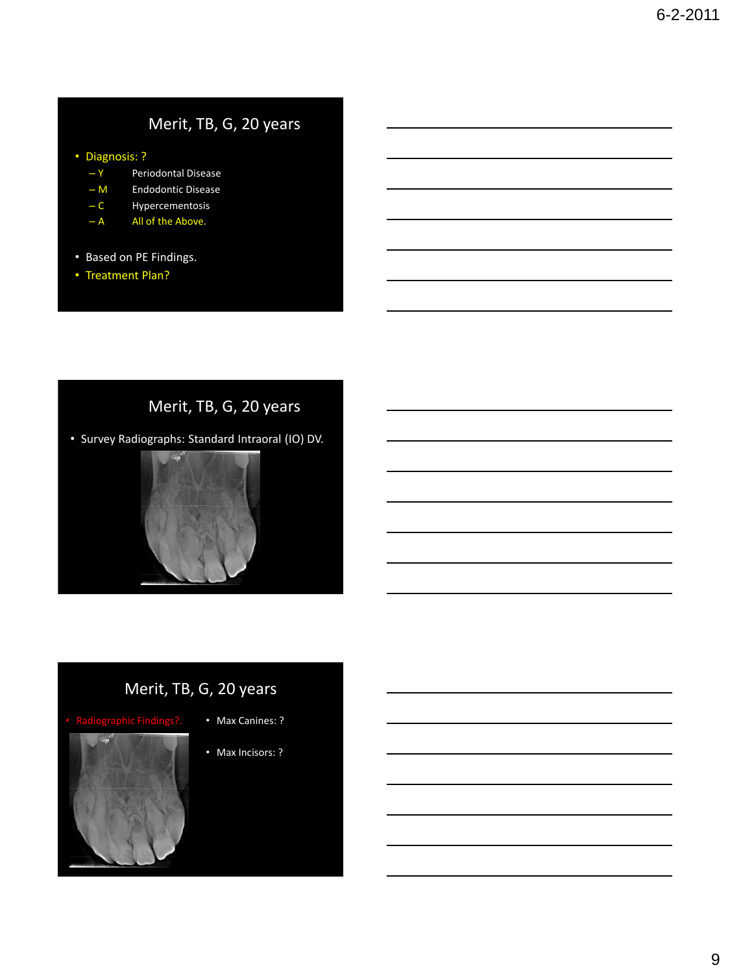### • Diagnosis: ?

- Y Periodontal Disease
- M Endodontic Disease
- C Hypercementosis
- $A$  All of the Above.
- Based on PE Findings.
- Treatment Plan?

# Merit, TB, G, 20 years



- Max Canines: ?
- Max Incisors: ?

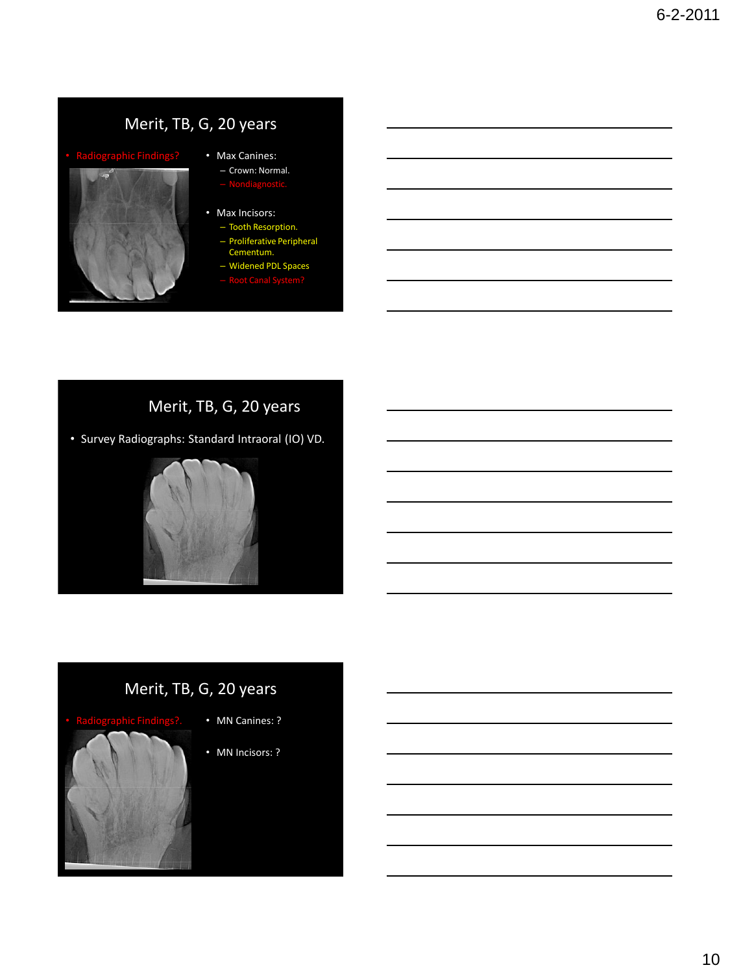

### • Max Canines:

– Crown: Normal.

### • Max Incisors:

- Tooth Resorption.
- Proliferative Peripheral
- Cementum. – Widened PDL Spaces
- 

# Merit, TB, G, 20 years

• Survey Radiographs: Standard Intraoral (IO) VD.





- MN Canines: ?
- MN Incisors: ?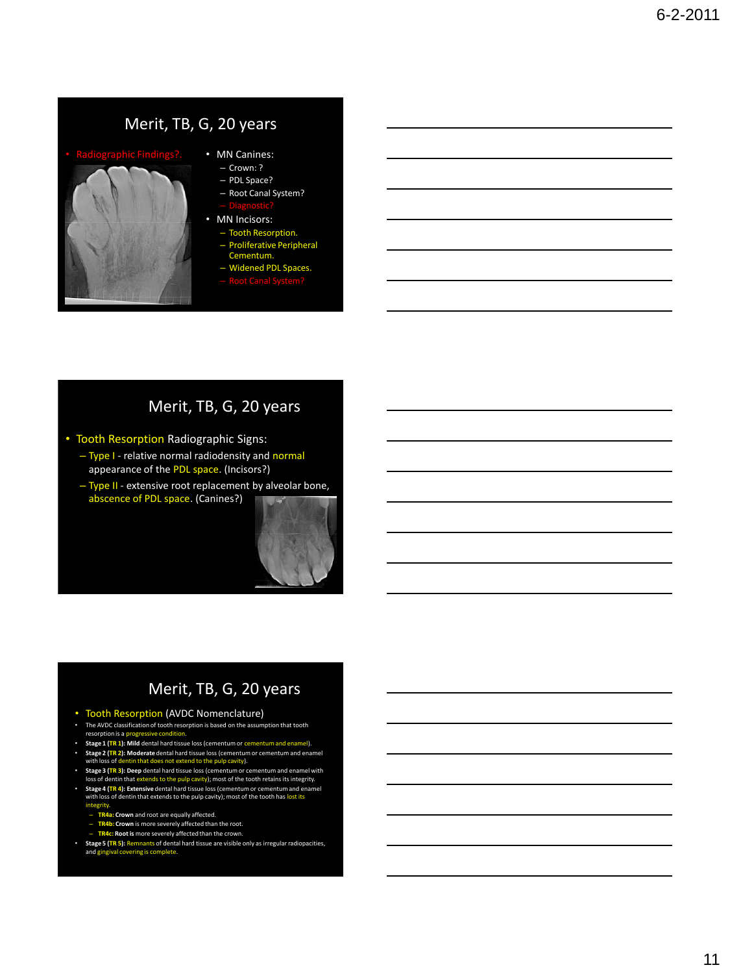

- MN Canines:
	- Crown: ?
	- PDL Space? – Root Canal System?
	-
- MN Incisors: – Tooth Resorption.
	-
	- Proliferative Peripheral Cementum. – Widened PDL Spaces.
	-

### Merit, TB, G, 20 years

- Tooth Resorption Radiographic Signs:
	- Type I relative normal radiodensity and normal appearance of the PDL space. (Incisors?)
	- Type II extensive root replacement by alveolar bone, abscence of PDL space. (Canines?)

- Tooth Resorption (AVDC Nomenclature)
- The AVDC classification of tooth resorption is based on the assumption that tooth resorption is a pr
- **Stage 1 (TR 1): Mild** dental hard tissue loss (cementum or cementum and enamel). • **Stage 2 (TR 2): Moderate** dental hard tissue loss (cementum or cementum and enamel with loss of dentin that does not extend to the pulp cavity).
- 
- Stage 3 (TR 3): Deep dental hard tissue loss (cementum or cementum and enamel with<br>Ioss of dentin that extends to the pulp cavity); most of the tooth retains its integrity.<br>• Stage 4 (TR 4): Extensive dental hard tissue with loss of dentin that extends to the pulp cavity); most of the tooth has lost its
	- integrity.
	- **TR4a: Crown** and root are equally affected.
	- **TR4b: Crown** is more severely affected than the root. **TR4c: Root is** more severely affected than the crown.
	-
- **Stage 5 (TR 5):** Remnants of dental hard tissue are visible only as irregular radiopacities, and gingival covering is complete.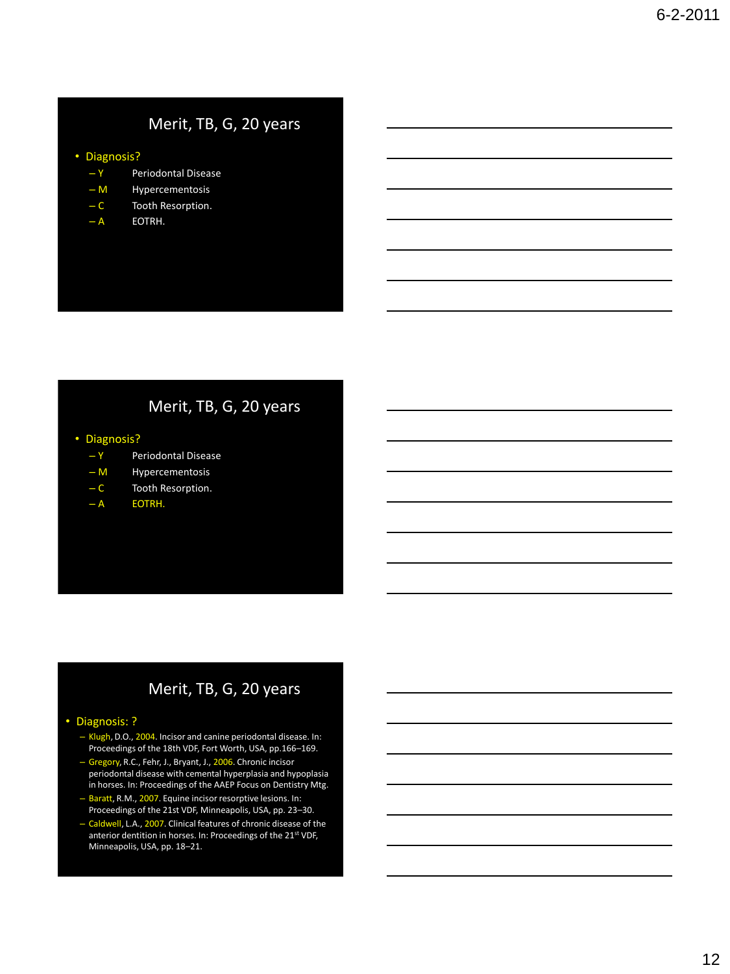### • Diagnosis?

- Y Periodontal Disease
- M Hypercementosis
- C Tooth Resorption.
- $-A$  EOTRH.

### Merit, TB, G, 20 years

- Diagnosis?
	- Y Periodontal Disease
	- M Hypercementosis
	- C Tooth Resorption.
	- A EOTRH.

### Merit, TB, G, 20 years

### • Diagnosis: ?

- Klugh, D.O., 2004. Incisor and canine periodontal disease. In: Proceedings of the 18th VDF, Fort Worth, USA, pp.166–169.
- Gregory, R.C., Fehr, J., Bryant, J., 2006. Chronic incisor periodontal disease with cemental hyperplasia and hypoplasia in horses. In: Proceedings of the AAEP Focus on Dentistry Mtg.
- Baratt, R.M., 2007. Equine incisor resorptive lesions. In: Proceedings of the 21st VDF, Minneapolis, USA, pp. 23–30.
- Caldwell, L.A., 2007. Clinical features of chronic disease of the anterior dentition in horses. In: Proceedings of the 21<sup>st</sup> VDF, Minneapolis, USA, pp. 18–21.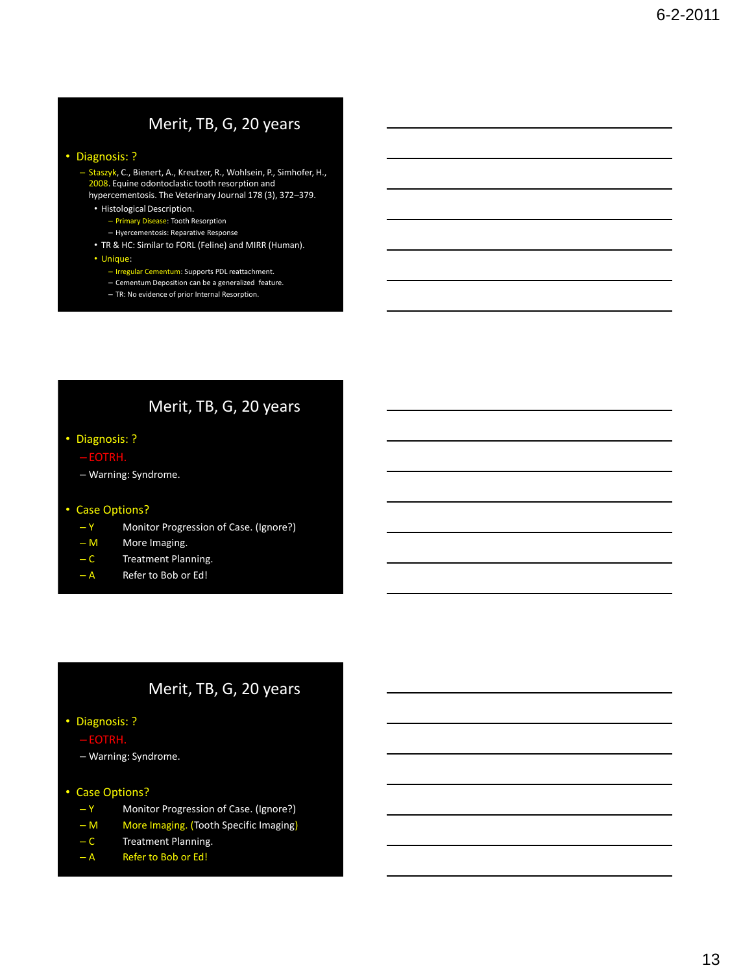### • Diagnosis: ?

- Staszyk, C., Bienert, A., Kreutzer, R., Wohlsein, P., Simhofer, H., 2008. Equine odontoclastic tooth resorption and hypercementosis. The Veterinary Journal 178 (3), 372–379.
	- Histological Description.
		- Primary Disease: Tooth Resorption
		- Hyercementosis: Reparative Response
	- TR & HC: Similar to FORL (Feline) and MIRR (Human).
	- Unique:
		- Irregular Cementum: Supports PDL reattachment.
		- Cementum Deposition can be a generalized feature.
		- TR: No evidence of prior Internal Resorption.

### Merit, TB, G, 20 years

- Diagnosis: ?
	-
	- Warning: Syndrome.

### • Case Options?

- Y Monitor Progression of Case. (Ignore?)
- M More Imaging.
- C Treatment Planning.
- A Refer to Bob or Ed!

### Merit, TB, G, 20 years

### • Diagnosis: ?

- 
- Warning: Syndrome.
- Case Options?
	- Y Monitor Progression of Case. (Ignore?)
	- M More Imaging. (Tooth Specific Imaging)
	- C Treatment Planning.
	- A Refer to Bob or Ed!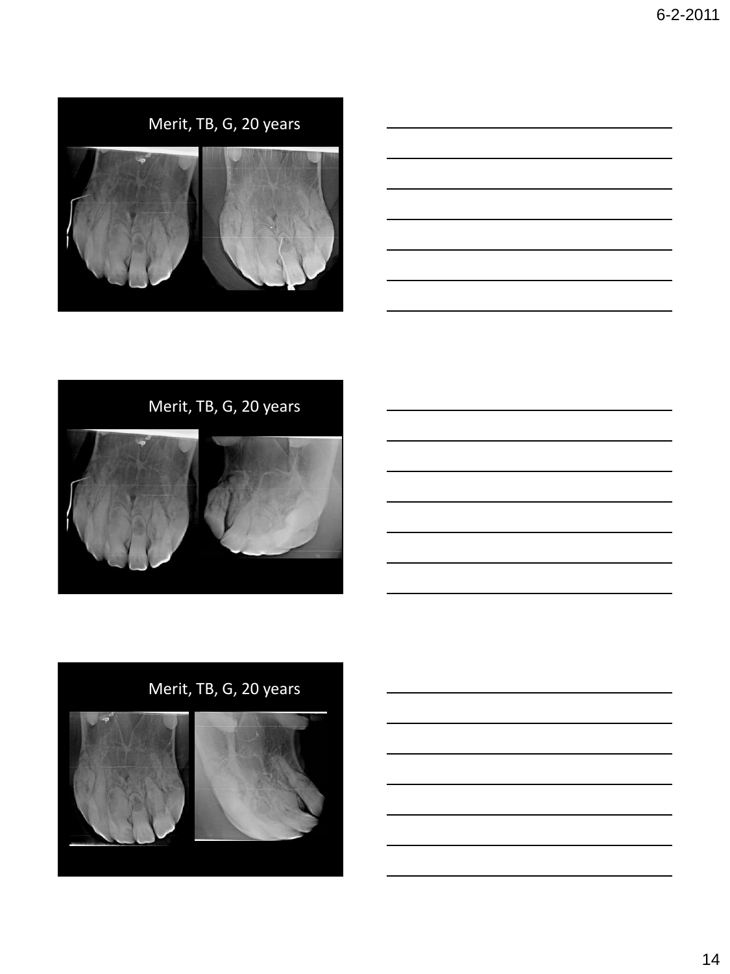



Merit, TB, G, 20 years

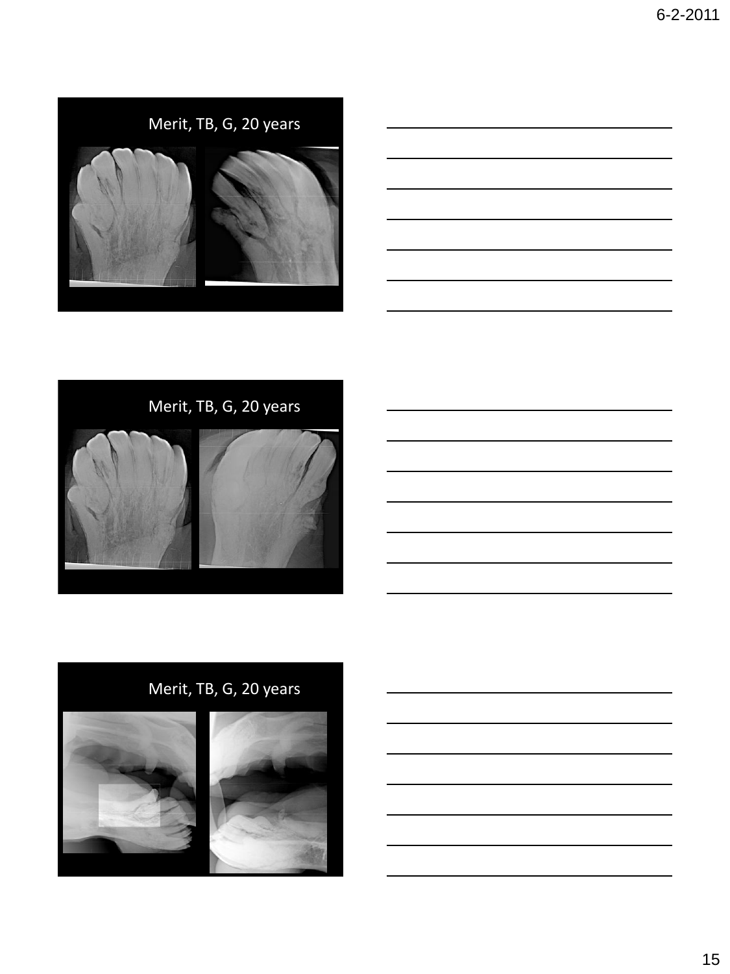





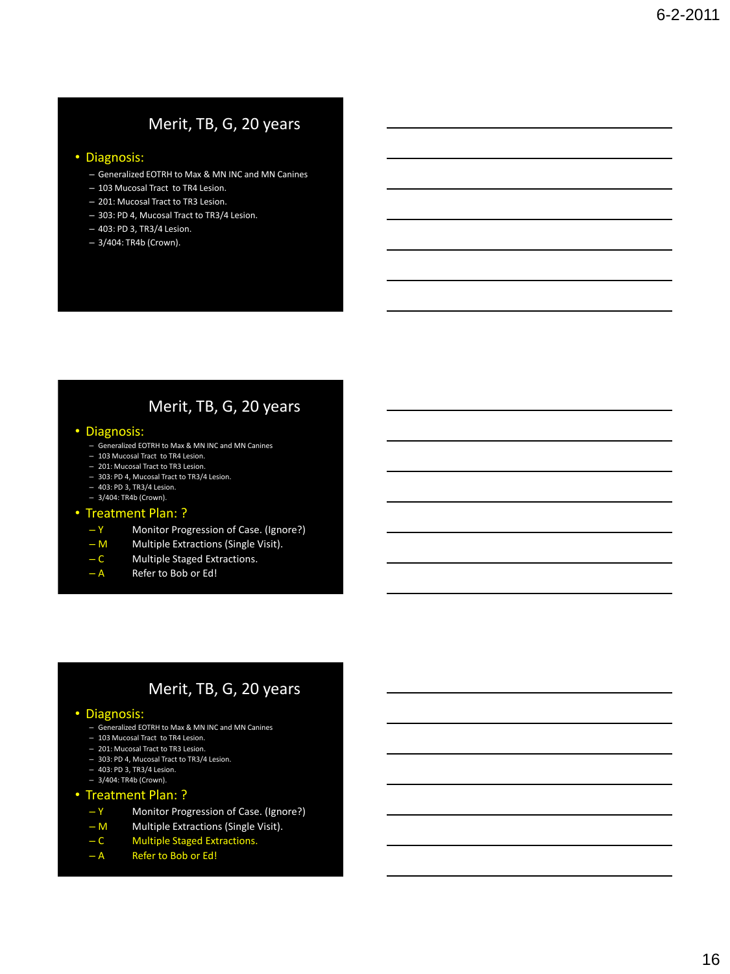### • Diagnosis:

- Generalized EOTRH to Max & MN INC and MN Canines
- 103 Mucosal Tract to TR4 Lesion.
- 201: Mucosal Tract to TR3 Lesion.
- 303: PD 4, Mucosal Tract to TR3/4 Lesion.
- 403: PD 3, TR3/4 Lesion.
- 3/404: TR4b (Crown).

### Merit, TB, G, 20 years

### • Diagnosis:

- Generalized EOTRH to Max & MN INC and MN Canines
- 103 Mucosal Tract to TR4 Lesion.
- 201: Mucosal Tract to TR3 Lesion.
- 303: PD 4, Mucosal Tract to TR3/4 Lesion.
- 403: PD 3, TR3/4 Lesion. – 3/404: TR4b (Crown).
- 

### • Treatment Plan: ?

- Y Monitor Progression of Case. (Ignore?)
- M Multiple Extractions (Single Visit).
- C Multiple Staged Extractions.
- A Refer to Bob or Ed!

### Merit, TB, G, 20 years

### • Diagnosis:

- Generalized EOTRH to Max & MN INC and MN Canines
- 103 Mucosal Tract to TR4 Lesion.
- 201: Mucosal Tract to TR3 Lesion.
- 303: PD 4, Mucosal Tract to TR3/4 Lesion.
- 403: PD 3, TR3/4 Lesion.
- 3/404: TR4b (Crown).

### • Treatment Plan: ?

- Y Monitor Progression of Case. (Ignore?)
- M Multiple Extractions (Single Visit).
- C Multiple Staged Extractions.
- A Refer to Bob or Ed!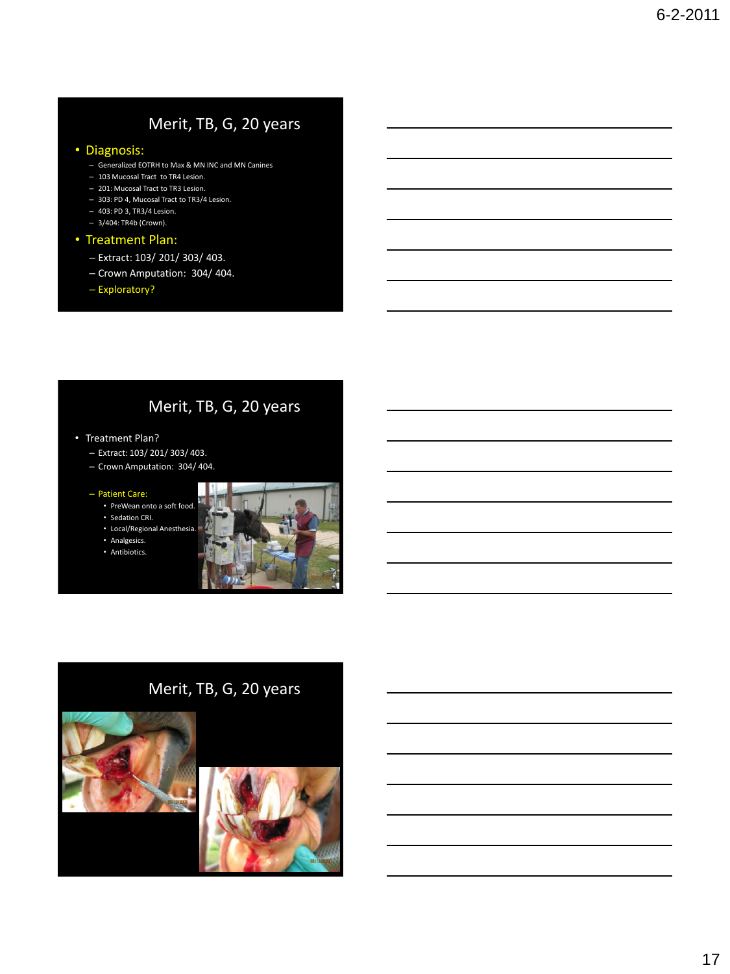### • Diagnosis:

- Generalized EOTRH to Max & MN INC and MN Canines
- 103 Mucosal Tract to TR4 Lesion.
- 201: Mucosal Tract to TR3 Lesion.
- 303: PD 4, Mucosal Tract to TR3/4 Lesion.
- 403: PD 3, TR3/4 Lesion. – 3/404: TR4b (Crown).

### • Treatment Plan:

- Extract: 103/ 201/ 303/ 403.
- Crown Amputation: 304/ 404.
- Exploratory?

### Merit, TB, G, 20 years

- Treatment Plan?
	- Extract: 103/ 201/ 303/ 403.
	- Crown Amputation: 304/ 404.

### – Patient Care:

- PreWean onto a soft food.
- Sedation CRI.
- Local/Regional Anesthesi
- Analgesics.
- Antibiotics.

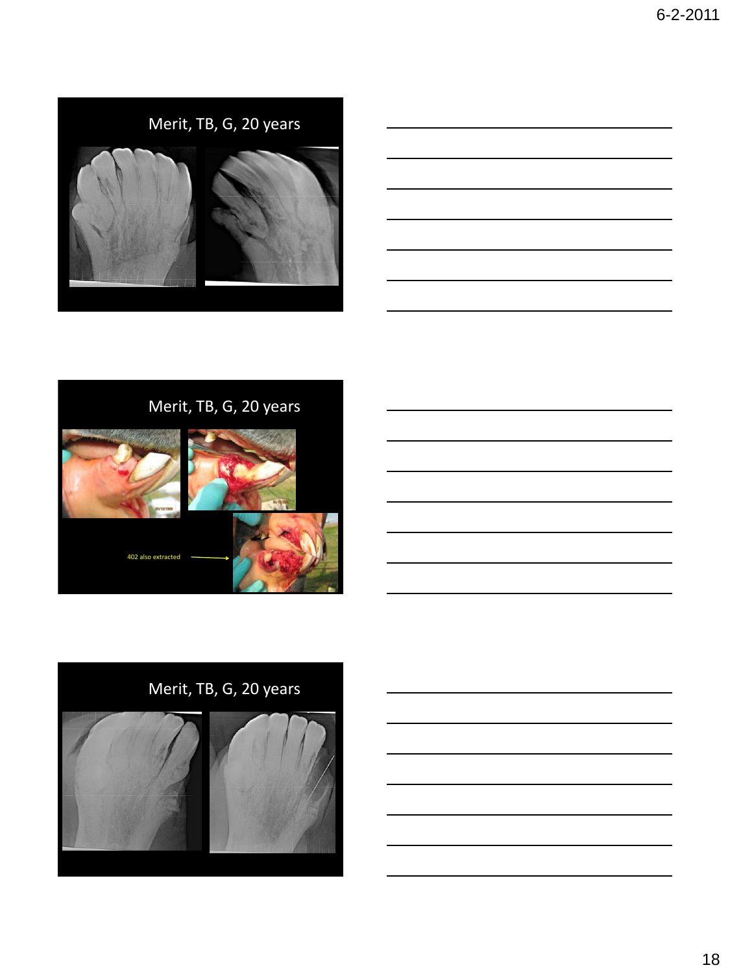











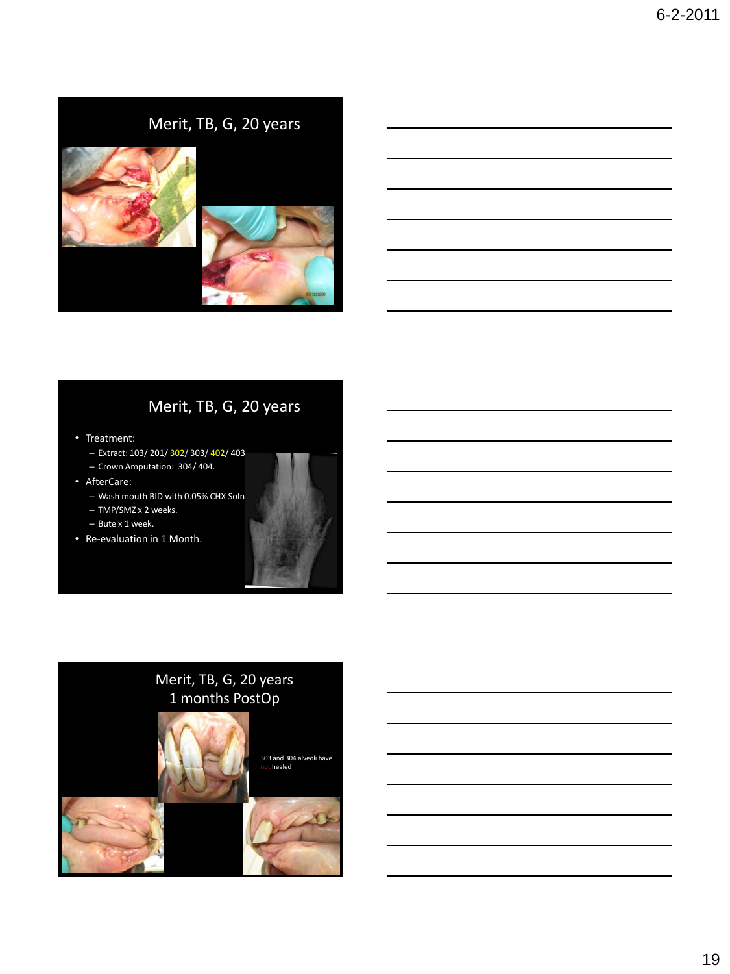# Merit, TB, G, 20 years

- Treatment:
	- Extract: 103/ 201/ 302/ 303/ 402/ 403.
	- Crown Amputation: 304/ 404.
- AfterCare:
	- Wash mouth BID with 0.05% CHX Soln.
	- TMP/SMZ x 2 weeks.
	- Bute x 1 week.
- Re-evaluation in 1 Month.

# Merit, TB, G, 20 years 1 months PostOp

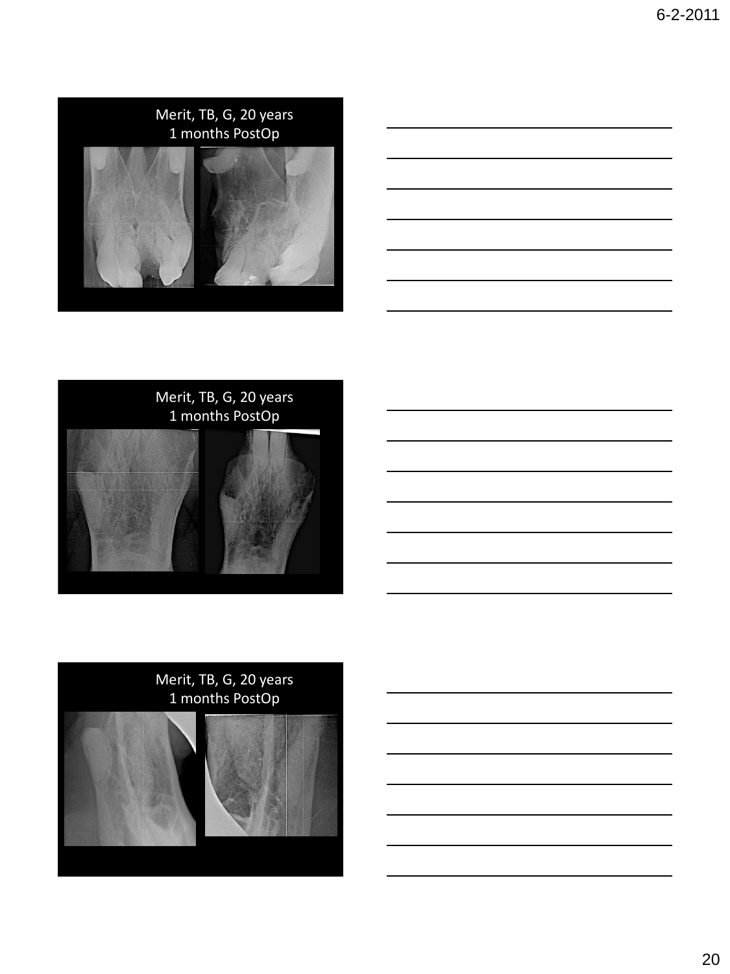





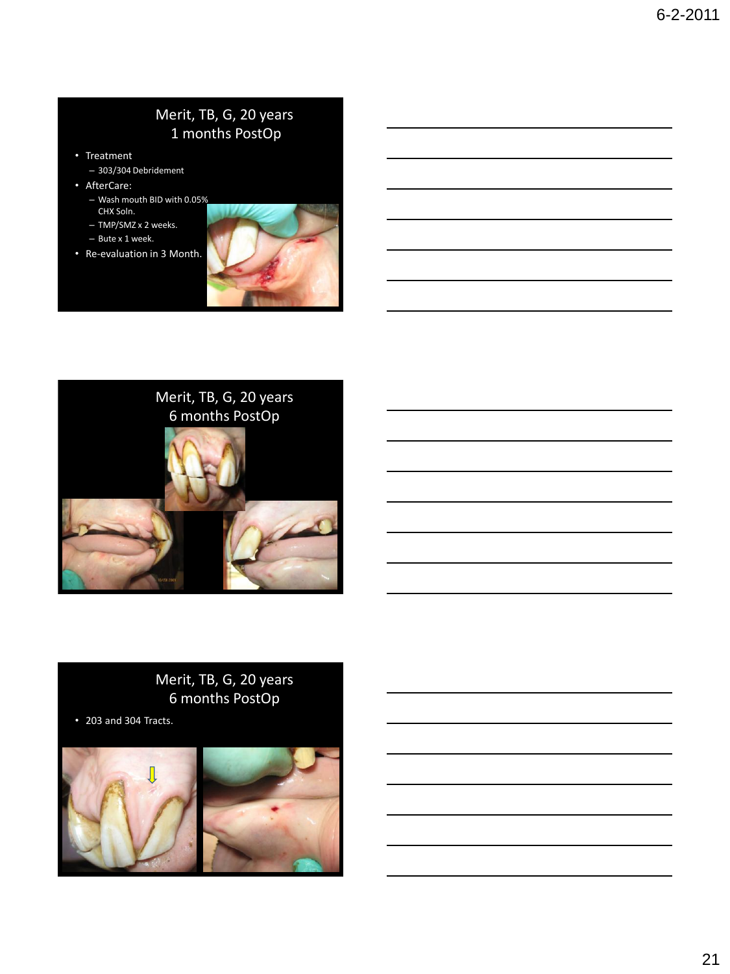### Merit, TB, G, 20 years 1 months PostOp

- Treatment
	- 303/304 Debridement
- AfterCare:
	- Wash mouth BID with 0.05% CHX Soln.
	- TMP/SMZ x 2 weeks.
	- Bute x 1 week.
- Re-evaluation in 3 Month.





### Merit, TB, G, 20 years 6 months PostOp

• 203 and 304 Tracts.

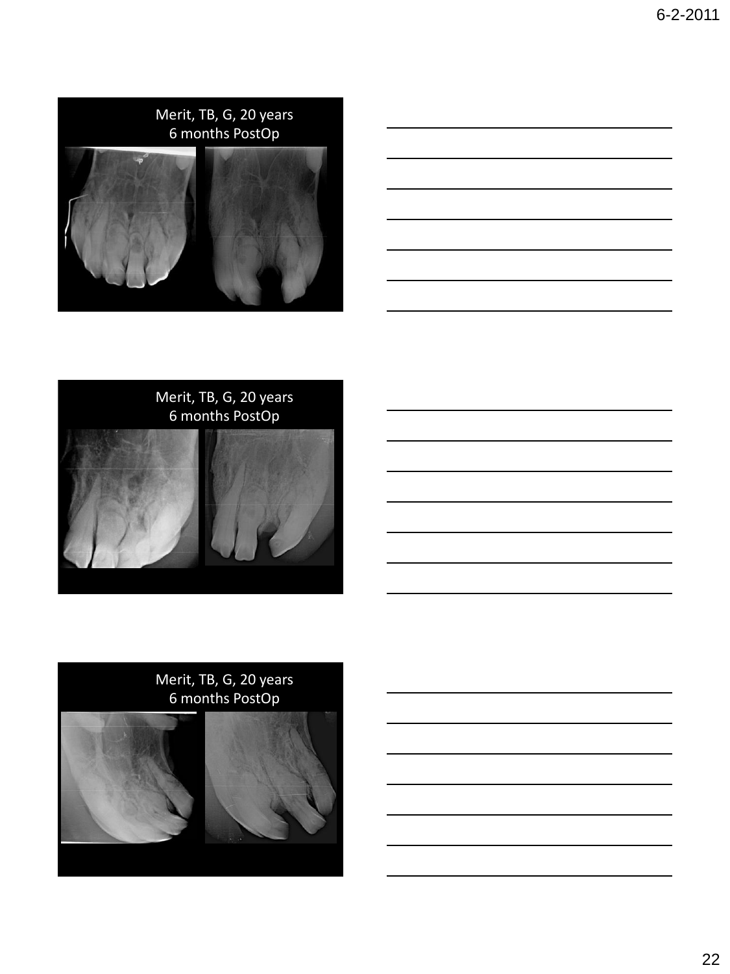





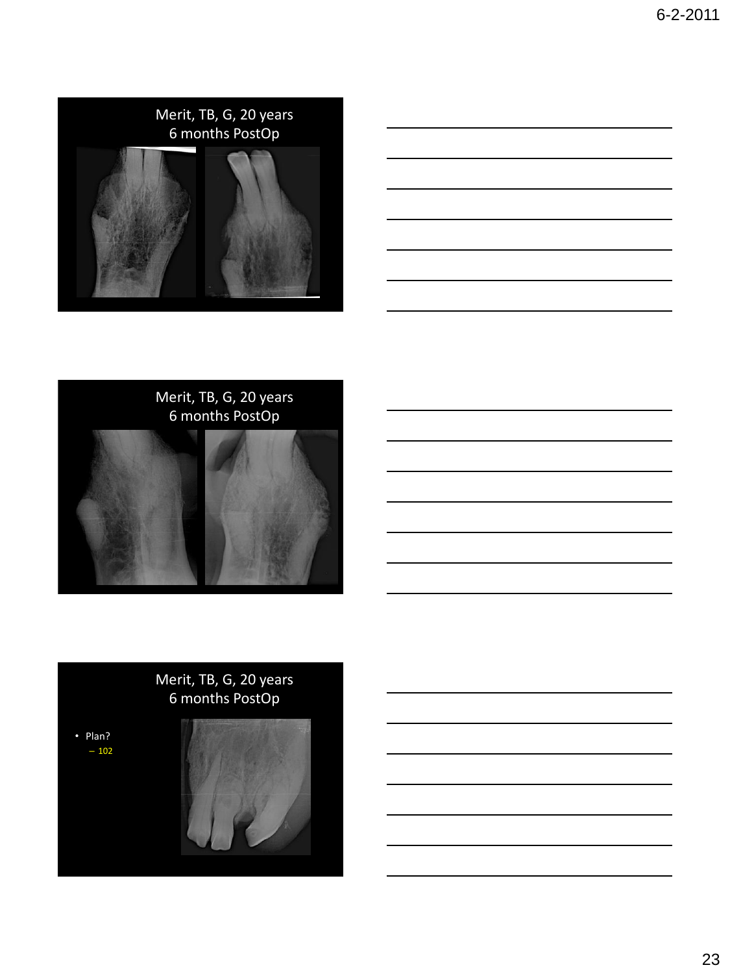





# Merit, TB, G, 20 years 6 months PostOp

• Plan?  $-102$